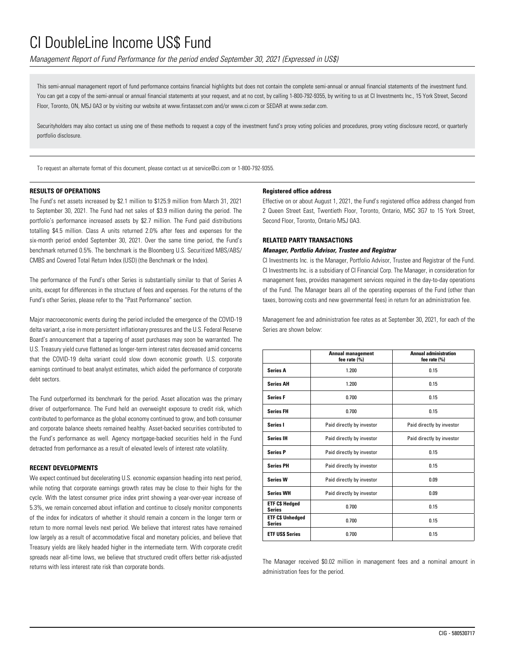*Management Report of Fund Performance for the period ended September 30, 2021 (Expressed in US\$)*

This semi-annual management report of fund performance contains financial highlights but does not contain the complete semi-annual or annual financial statements of the investment fund. You can get a copy of the semi-annual or annual financial statements at your request, and at no cost, by calling 1-800-792-9355, by writing to us at CI Investments Inc., 15 York Street, Second Floor, Toronto, ON, M5J 0A3 or by visiting our website at www.firstasset.com and/or www.ci.com or SEDAR at www.sedar.com.

Securityholders may also contact us using one of these methods to request a copy of the investment fund's proxy voting policies and procedures, proxy voting disclosure record, or quarterly portfolio disclosure.

To request an alternate format of this document, please contact us at service@ci.com or 1-800-792-9355.

#### **RESULTS OF OPERATIONS**

The Fund's net assets increased by \$2.1 million to \$125.9 million from March 31, 2021 to September 30, 2021. The Fund had net sales of \$3.9 million during the period. The portfolio's performance increased assets by \$2.7 million. The Fund paid distributions totalling \$4.5 million. Class A units returned 2.0% after fees and expenses for the six-month period ended September 30, 2021. Over the same time period, the Fund's benchmark returned 0.5%. The benchmark is the Bloomberg U.S. Securitized MBS/ABS/ CMBS and Covered Total Return Index (USD) (the Benchmark or the Index).

The performance of the Fund's other Series is substantially similar to that of Series A units, except for differences in the structure of fees and expenses. For the returns of the Fund's other Series, please refer to the "Past Performance" section.

Major macroeconomic events during the period included the emergence of the COVID-19 delta variant, a rise in more persistent inflationary pressures and the U.S. Federal Reserve Board's announcement that a tapering of asset purchases may soon be warranted. The U.S. Treasury yield curve flattened as longer-term interest rates decreased amid concerns that the COVID-19 delta variant could slow down economic growth. U.S. corporate earnings continued to beat analyst estimates, which aided the performance of corporate debt sectors.

The Fund outperformed its benchmark for the period. Asset allocation was the primary driver of outperformance. The Fund held an overweight exposure to credit risk, which contributed to performance as the global economy continued to grow, and both consumer and corporate balance sheets remained healthy. Asset-backed securities contributed to the Fund's performance as well. Agency mortgage-backed securities held in the Fund detracted from performance as a result of elevated levels of interest rate volatility.

#### **RECENT DEVELOPMENTS**

We expect continued but decelerating U.S. economic expansion heading into next period, while noting that corporate earnings growth rates may be close to their highs for the cycle. With the latest consumer price index print showing a year-over-year increase of 5.3%, we remain concerned about inflation and continue to closely monitor components of the index for indicators of whether it should remain a concern in the longer term or return to more normal levels next period. We believe that interest rates have remained low largely as a result of accommodative fiscal and monetary policies, and believe that Treasury yields are likely headed higher in the intermediate term. With corporate credit spreads near all-time lows, we believe that structured credit offers better risk-adjusted returns with less interest rate risk than corporate bonds.

#### **Registered office address**

Effective on or about August 1, 2021, the Fund's registered office address changed from 2 Queen Street East, Twentieth Floor, Toronto, Ontario, M5C 3G7 to 15 York Street, Second Floor, Toronto, Ontario M5J 0A3.

#### **RELATED PARTY TRANSACTIONS**

#### *Manager, Portfolio Advisor, Trustee and Registrar*

CI Investments Inc. is the Manager, Portfolio Advisor, Trustee and Registrar of the Fund. CI Investments Inc. is a subsidiary of CI Financial Corp. The Manager, in consideration for management fees, provides management services required in the day-to-day operations of the Fund. The Manager bears all of the operating expenses of the Fund (other than taxes, borrowing costs and new governmental fees) in return for an administration fee.

Management fee and administration fee rates as at September 30, 2021, for each of the Series are shown below:

|                                          | <b>Annual management</b><br>fee rate (%) | <b>Annual administration</b><br>fee rate $(\% )$ |
|------------------------------------------|------------------------------------------|--------------------------------------------------|
| <b>Series A</b>                          | 1.200                                    | 0.15                                             |
| <b>Series AH</b>                         | 1.200                                    | 0.15                                             |
| <b>Series F</b>                          | 0.700                                    | 0.15                                             |
| <b>Series FH</b>                         | 0.700                                    | 0.15                                             |
| Series I                                 | Paid directly by investor                | Paid directly by investor                        |
| <b>Series IH</b>                         | Paid directly by investor                | Paid directly by investor                        |
| <b>Series P</b>                          | Paid directly by investor                | 0.15                                             |
| <b>Series PH</b>                         | Paid directly by investor                | 0.15                                             |
| <b>Series W</b>                          | Paid directly by investor                | 0.09                                             |
| <b>Series WH</b>                         | Paid directly by investor                | 0.09                                             |
| <b>ETF CS Hedged</b><br><b>Series</b>    | 0.700                                    | 0.15                                             |
| <b>ETF C\$ Unhedged</b><br><b>Series</b> | 0.700                                    | 0.15                                             |
| <b>ETF USS Series</b>                    | 0.700                                    | 0.15                                             |

The Manager received \$0.02 million in management fees and a nominal amount in administration fees for the period.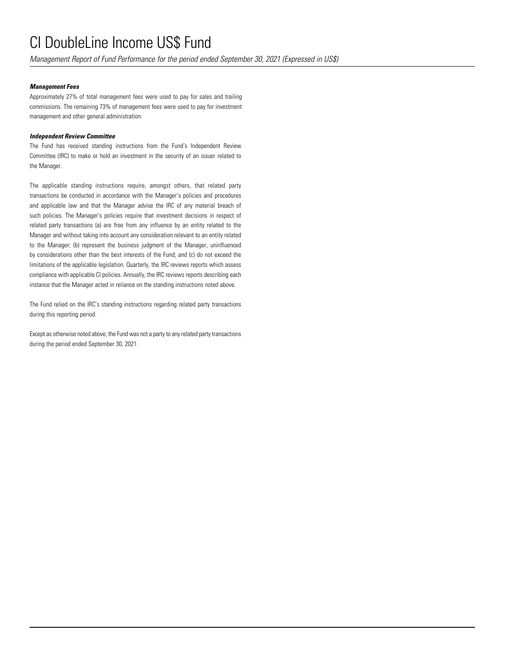*Management Report of Fund Performance for the period ended September 30, 2021 (Expressed in US\$)*

### *Management Fees*

Approximately 27% of total management fees were used to pay for sales and trailing commissions. The remaining 73% of management fees were used to pay for investment management and other general administration.

### *Independent Review Committee*

The Fund has received standing instructions from the Fund's Independent Review Committee (IRC) to make or hold an investment in the security of an issuer related to the Manager.

The applicable standing instructions require, amongst others, that related party transactions be conducted in accordance with the Manager's policies and procedures and applicable law and that the Manager advise the IRC of any material breach of such policies. The Manager's policies require that investment decisions in respect of related party transactions (a) are free from any influence by an entity related to the Manager and without taking into account any consideration relevant to an entity related to the Manager; (b) represent the business judgment of the Manager, uninfluenced by considerations other than the best interests of the Fund; and (c) do not exceed the limitations of the applicable legislation. Quarterly, the IRC reviews reports which assess compliance with applicable CI policies. Annually, the IRC reviews reports describing each instance that the Manager acted in reliance on the standing instructions noted above.

The Fund relied on the IRC's standing instructions regarding related party transactions during this reporting period.

Except as otherwise noted above, the Fund was not a party to any related party transactions during the period ended September 30, 2021.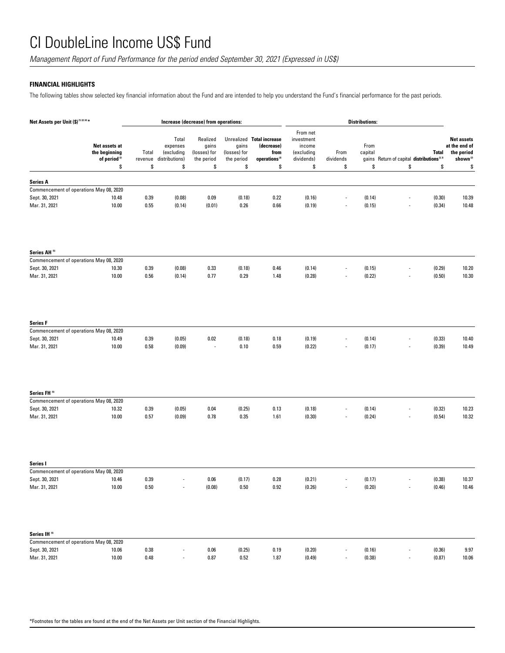*Management Report of Fund Performance for the period ended September 30, 2021 (Expressed in US\$)*

### **FINANCIAL HIGHLIGHTS**

The following tables show selected key financial information about the Fund and are intended to help you understand the Fund's financial performance for the past periods.

| Net Assets per Unit (\$)(1)(2)(4)*                                 |                  | Increase (decrease) from operations:              |                                                 |                                     | <b>Distributions:</b>                                                        |                                                              |                          |                  |                                                                      |                                                                         |
|--------------------------------------------------------------------|------------------|---------------------------------------------------|-------------------------------------------------|-------------------------------------|------------------------------------------------------------------------------|--------------------------------------------------------------|--------------------------|------------------|----------------------------------------------------------------------|-------------------------------------------------------------------------|
| Net assets at<br>the beginning<br>of period <sup>(2)</sup>         | Total<br>revenue | Total<br>expenses<br>(excluding<br>distributions) | Realized<br>gains<br>(losses) for<br>the period | gains<br>(losses) for<br>the period | Unrealized Total increase<br>(decrease)<br>from<br>operations <sup>(2)</sup> | From net<br>investment<br>income<br>(excluding<br>dividends) | From<br>dividends        | From<br>capital  | <b>Total</b><br>gains Return of capital distributions <sup>2.3</sup> | <b>Net assets</b><br>at the end of<br>the period<br>shown <sup>12</sup> |
|                                                                    | \$<br>\$         | \$                                                | \$                                              | \$                                  | \$                                                                           | \$                                                           | \$                       | \$               | \$<br>\$                                                             | \$                                                                      |
| <b>Series A</b>                                                    |                  |                                                   |                                                 |                                     |                                                                              |                                                              |                          |                  |                                                                      |                                                                         |
| Commencement of operations May 08, 2020                            |                  |                                                   |                                                 |                                     |                                                                              |                                                              |                          |                  |                                                                      |                                                                         |
| Sept. 30, 2021<br>10.48                                            | 0.39             | (0.08)                                            | 0.09                                            | (0.18)                              | 0.22                                                                         | (0.16)                                                       | $\overline{\phantom{a}}$ | (0.14)           | (0.30)<br>$\overline{\phantom{a}}$                                   | 10.39                                                                   |
| Mar. 31, 2021<br>10.00                                             | 0.55             | (0.14)                                            | (0.01)                                          | 0.26                                | 0.66                                                                         | (0.19)                                                       |                          | (0.15)           | (0.34)<br>$\frac{1}{2}$                                              | 10.48                                                                   |
|                                                                    |                  |                                                   |                                                 |                                     |                                                                              |                                                              |                          |                  |                                                                      |                                                                         |
| Series AH <sup>(5)</sup>                                           |                  |                                                   |                                                 |                                     |                                                                              |                                                              |                          |                  |                                                                      |                                                                         |
| Commencement of operations May 08, 2020<br>Sept. 30, 2021<br>10.30 | 0.39             | (0.08)                                            | 0.33                                            | (0.18)                              | 0.46                                                                         | (0.14)                                                       |                          | (0.15)           | (0.29)                                                               | 10.20                                                                   |
| Mar. 31, 2021<br>10.00                                             | 0.56             | (0.14)                                            | 0.77                                            | 0.29                                | 1.48                                                                         | (0.28)                                                       |                          | (0.22)           | (0.50)                                                               | 10.30                                                                   |
| <b>Series F</b>                                                    |                  |                                                   |                                                 |                                     |                                                                              |                                                              |                          |                  |                                                                      |                                                                         |
| Commencement of operations May 08, 2020                            |                  |                                                   |                                                 |                                     |                                                                              |                                                              |                          |                  |                                                                      |                                                                         |
| Sept. 30, 2021<br>10.49                                            | 0.39             | (0.05)                                            | 0.02                                            | (0.18)                              | 0.18                                                                         | (0.19)                                                       |                          | (0.14)           | (0.33)                                                               | 10.40                                                                   |
| Mar. 31, 2021<br>10.00                                             | 0.58             | (0.09)                                            | $\overline{a}$                                  | 0.10                                | 0.59                                                                         | (0.22)                                                       |                          | (0.17)           | (0.39)                                                               | 10.49                                                                   |
| Series FH <sup>(5)</sup>                                           |                  |                                                   |                                                 |                                     |                                                                              |                                                              |                          |                  |                                                                      |                                                                         |
| Commencement of operations May 08, 2020                            |                  |                                                   |                                                 |                                     |                                                                              |                                                              |                          |                  |                                                                      |                                                                         |
| Sept. 30, 2021<br>10.32<br>Mar. 31, 2021<br>10.00                  | 0.39<br>0.57     | (0.05)<br>(0.09)                                  | 0.04<br>0.78                                    | (0.25)<br>0.35                      | 0.13<br>1.61                                                                 | (0.18)<br>(0.30)                                             |                          | (0.14)<br>(0.24) | (0.32)<br>(0.54)                                                     | 10.23<br>10.32                                                          |
| Series I                                                           |                  |                                                   |                                                 |                                     |                                                                              |                                                              |                          |                  |                                                                      |                                                                         |
| Commencement of operations May 08, 2020                            |                  |                                                   |                                                 |                                     |                                                                              |                                                              |                          |                  |                                                                      |                                                                         |
| Sept. 30, 2021<br>10.46                                            | 0.39             |                                                   | 0.06                                            | (0.17)                              | 0.28                                                                         | (0.21)                                                       |                          | (0.17)           | (0.38)                                                               | 10.37                                                                   |
| Mar. 31, 2021<br>10.00                                             | $0.50\,$         |                                                   | (0.08)                                          | $0.50\,$                            | 0.92                                                                         | (0.26)                                                       |                          | (0.20)           | (0.46)<br>$\overline{\phantom{a}}$                                   | 10.46                                                                   |
| Series IH <sup>5)</sup>                                            |                  |                                                   |                                                 |                                     |                                                                              |                                                              |                          |                  |                                                                      |                                                                         |
| Commencement of operations May 08, 2020                            |                  |                                                   |                                                 |                                     |                                                                              |                                                              |                          |                  |                                                                      |                                                                         |
| Sept. 30, 2021<br>10.06<br>Mar. 31, 2021<br>10.00                  | 0.38<br>0.48     |                                                   | 0.06<br>$0.87\,$                                | (0.25)<br>0.52                      | 0.19<br>1.87                                                                 | (0.20)<br>(0.49)                                             |                          | (0.16)<br>(0.38) | (0.36)<br>$\overline{\phantom{a}}$<br>(0.87)<br>$\overline{a}$       | 9.97<br>10.06                                                           |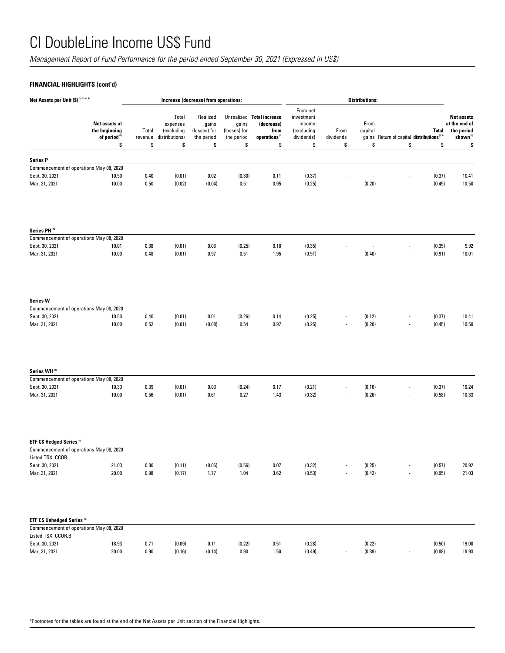*Management Report of Fund Performance for the period ended September 30, 2021 (Expressed in US\$)*

## **FINANCIAL HIGHLIGHTS (cont'd)**

| Net Assets per Unit (\$)(1)(2)(4)*                                               |                                                                  |                        | Increase (decrease) from operations:                    |                                                       | <b>Distributions:</b>                     |                                                                                    |                                                                    |                          |                                    |                                                       |                  |                                                                                |
|----------------------------------------------------------------------------------|------------------------------------------------------------------|------------------------|---------------------------------------------------------|-------------------------------------------------------|-------------------------------------------|------------------------------------------------------------------------------------|--------------------------------------------------------------------|--------------------------|------------------------------------|-------------------------------------------------------|------------------|--------------------------------------------------------------------------------|
|                                                                                  | Net assets at<br>the beginning<br>of period <sup>(2)</sup><br>\$ | Total<br>revenue<br>\$ | Total<br>expenses<br>(excluding<br>distributions)<br>\$ | Realized<br>gains<br>(losses) for<br>the period<br>\$ | gains<br>(losses) for<br>the period<br>\$ | Unrealized Total increase<br>(decrease)<br>from<br>operations <sup>(2)</sup><br>\$ | From net<br>investment<br>income<br>(excluding<br>dividends)<br>\$ | From<br>dividends<br>\$  | From<br>capital<br>gains<br>\$     | Return of capital distributions <sup>2.31</sup><br>\$ | Total<br>\$      | <b>Net assets</b><br>at the end of<br>the period<br>shown <sup>(2)</sup><br>\$ |
|                                                                                  |                                                                  |                        |                                                         |                                                       |                                           |                                                                                    |                                                                    |                          |                                    |                                                       |                  |                                                                                |
| <b>Series P</b>                                                                  |                                                                  |                        |                                                         |                                                       |                                           |                                                                                    |                                                                    |                          |                                    |                                                       |                  |                                                                                |
| Commencement of operations May 08, 2020                                          |                                                                  |                        |                                                         |                                                       |                                           |                                                                                    |                                                                    |                          |                                    |                                                       |                  |                                                                                |
| Sept. 30, 2021<br>Mar. 31, 2021                                                  | 10.50<br>10.00                                                   | 0.40<br>0.50           | (0.01)<br>(0.02)                                        | 0.02<br>(0.04)                                        | (0.30)<br>0.51                            | 0.11<br>0.95                                                                       | (0.37)<br>(0.25)                                                   |                          | (0.20)                             |                                                       | (0.37)<br>(0.45) | 10.41<br>10.50                                                                 |
| Series PH <sup>(5)</sup>                                                         |                                                                  |                        |                                                         |                                                       |                                           |                                                                                    |                                                                    |                          |                                    |                                                       |                  |                                                                                |
| Commencement of operations May 08, 2020                                          |                                                                  |                        |                                                         |                                                       |                                           |                                                                                    |                                                                    |                          |                                    |                                                       |                  |                                                                                |
| Sept. 30, 2021<br>Mar. 31, 2021                                                  | 10.01<br>10.00                                                   | 0.38<br>0.48           | (0.01)<br>(0.01)                                        | 0.06<br>0.97                                          | (0.25)<br>0.51                            | 0.18<br>1.95                                                                       | (0.35)<br>(0.51)                                                   |                          | $\overline{\phantom{a}}$<br>(0.40) | $\overline{a}$<br>$\overline{a}$                      | (0.35)<br>(0.91) | 9.92<br>10.01                                                                  |
| <b>Series W</b><br>Commencement of operations May 08, 2020                       |                                                                  |                        |                                                         |                                                       |                                           |                                                                                    |                                                                    |                          |                                    |                                                       |                  |                                                                                |
| Sept. 30, 2021                                                                   | 10.50                                                            | 0.40                   | (0.01)                                                  | 0.01                                                  | (0.26)                                    | 0.14                                                                               | (0.25)                                                             |                          | (0.12)                             |                                                       | (0.37)           | 10.41                                                                          |
| Mar. 31, 2021                                                                    | 10.00                                                            | 0.52                   | (0.01)                                                  | (0.08)                                                | 0.54                                      | 0.97                                                                               | (0.25)                                                             |                          | (0.20)                             |                                                       | (0.45)           | 10.50                                                                          |
| Series WH <sup>51</sup>                                                          |                                                                  |                        |                                                         |                                                       |                                           |                                                                                    |                                                                    |                          |                                    |                                                       |                  |                                                                                |
| Commencement of operations May 08, 2020                                          |                                                                  |                        |                                                         |                                                       |                                           |                                                                                    |                                                                    |                          |                                    |                                                       |                  |                                                                                |
| Sept. 30, 2021<br>Mar. 31, 2021                                                  | 10.33<br>10.00                                                   | 0.39<br>0.56           | (0.01)<br>(0.01)                                        | 0.03<br>0.61                                          | (0.24)<br>0.27                            | 0.17<br>1.43                                                                       | (0.21)<br>(0.32)                                                   |                          | (0.16)<br>(0.26)                   |                                                       | (0.37)<br>(0.58) | 10.24<br>10.33                                                                 |
| <b>ETF C\$ Hedged Series <sup>69</sup></b>                                       |                                                                  |                        |                                                         |                                                       |                                           |                                                                                    |                                                                    |                          |                                    |                                                       |                  |                                                                                |
| Commencement of operations May 08, 2020<br>Listed TSX: CCOR                      |                                                                  |                        |                                                         |                                                       |                                           |                                                                                    |                                                                    |                          |                                    |                                                       |                  |                                                                                |
| Sept. 30, 2021                                                                   | 21.03                                                            | 0.80                   | (0.11)                                                  | (0.06)                                                | (0.56)                                    | 0.07                                                                               | (0.32)                                                             |                          | (0.25)                             |                                                       | (0.57)           | 20.92                                                                          |
| Mar. 31, 2021                                                                    | 20.00                                                            | 0.98                   | (0.17)                                                  | 1.77                                                  | 1.04                                      | 3.62                                                                               | (0.53)                                                             | $\overline{\phantom{a}}$ | (0.42)                             | $\blacksquare$                                        | (0.95)           | 21.03                                                                          |
| ETF C\$ Unhedged Series <sup>51</sup><br>Commencement of operations May 08, 2020 |                                                                  |                        |                                                         |                                                       |                                           |                                                                                    |                                                                    |                          |                                    |                                                       |                  |                                                                                |
| Listed TSX: CCOR.B                                                               |                                                                  |                        |                                                         |                                                       |                                           |                                                                                    |                                                                    |                          |                                    |                                                       |                  |                                                                                |
| Sept. 30, 2021                                                                   | 18.93                                                            | 0.71                   | (0.09)                                                  | 0.11                                                  | (0.22)                                    | 0.51                                                                               | (0.28)                                                             |                          | (0.22)                             |                                                       | (0.50)           | 19.00                                                                          |
| Mar. 31, 2021                                                                    | 20.00                                                            | $0.90\,$               | (0.16)                                                  | (0.14)                                                | $0.90\,$                                  | $1.50\,$                                                                           | (0.49)                                                             |                          | (0.39)                             |                                                       | (0.88)           | 18.93                                                                          |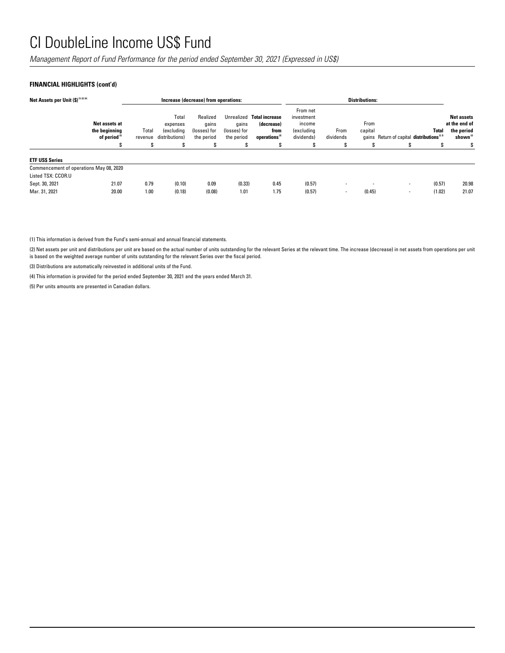*Management Report of Fund Performance for the period ended September 30, 2021 (Expressed in US\$)*

## **FINANCIAL HIGHLIGHTS (cont'd)**

| Net Assets per Unit (\$) (1) (2) (4)    |                                                            | Increase (decrease) from operations: |                                                          |                                                 |                                     |                                                                              | <b>Distributions:</b>                                               |                   |                 |                                                      |        |                                                                          |
|-----------------------------------------|------------------------------------------------------------|--------------------------------------|----------------------------------------------------------|-------------------------------------------------|-------------------------------------|------------------------------------------------------------------------------|---------------------------------------------------------------------|-------------------|-----------------|------------------------------------------------------|--------|--------------------------------------------------------------------------|
|                                         | Net assets at<br>the beginning<br>of period <sup>(2)</sup> | Total<br>revenue                     | Total<br>expenses<br><i>(excluding</i><br>distributions) | Realized<br>qains<br>(losses) for<br>the period | qains<br>(losses) for<br>the period | Unrealized Total increase<br>(decrease)<br>from<br>operations <sup>(2)</sup> | From net<br>investment<br>income<br><i>(excluding</i><br>dividends) | From<br>dividends | From<br>capital | gains Return of capital distributions <sup>2,3</sup> | Total  | <b>Net assets</b><br>at the end of<br>the period<br>shown <sup>(2)</sup> |
|                                         | S                                                          | S                                    | S                                                        | S                                               | S                                   | s                                                                            |                                                                     |                   | S               | S                                                    | £.     | S                                                                        |
| <b>ETF USS Series</b>                   |                                                            |                                      |                                                          |                                                 |                                     |                                                                              |                                                                     |                   |                 |                                                      |        |                                                                          |
| Commencement of operations May 08, 2020 |                                                            |                                      |                                                          |                                                 |                                     |                                                                              |                                                                     |                   |                 |                                                      |        |                                                                          |
| Listed TSX: CCOR.U                      |                                                            |                                      |                                                          |                                                 |                                     |                                                                              |                                                                     |                   |                 |                                                      |        |                                                                          |
| Sept. 30, 2021                          | 21.07                                                      | 0.79                                 | (0.10)                                                   | 0.09                                            | (0.33)                              | 0.45                                                                         | (0.57)                                                              | -                 |                 | $\overline{\phantom{a}}$                             | (0.57) | 20.98                                                                    |
| Mar. 31, 2021                           | 20.00                                                      | 1.00                                 | (0.18)                                                   | (0.08)                                          | 1.01                                | 1.75                                                                         | (0.57)                                                              | ۰                 | (0.45)          | $\blacksquare$                                       | (1.02) | 21.07                                                                    |

(1) This information is derived from the Fund's semi-annual and annual financial statements.

(2) Net assets per unit and distributions per unit are based on the actual number of units outstanding for the relevant Series at the relevant time. The increase (decrease) in net assets from operations per unit is based on the weighted average number of units outstanding for the relevant Series over the fiscal period.

(3) Distributions are automatically reinvested in additional units of the Fund.

(4) This information is provided for the period ended September 30, 2021 and the years ended March 31.

(5) Per units amounts are presented in Canadian dollars.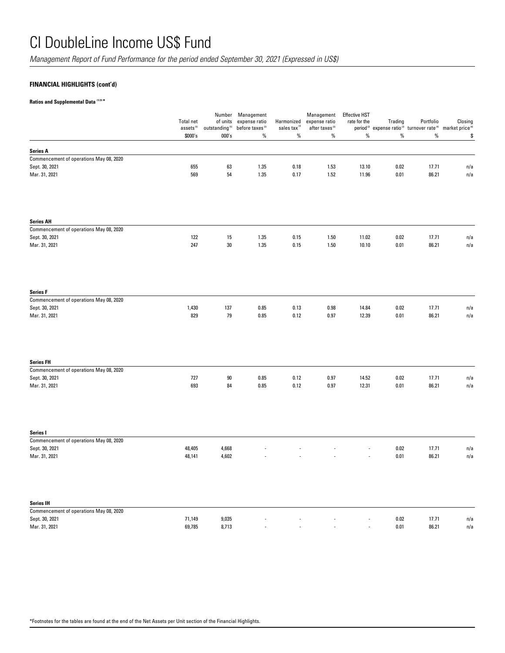*Management Report of Fund Performance for the period ended September 30, 2021 (Expressed in US\$)*

## **FINANCIAL HIGHLIGHTS (cont'd)**

**Ratios and Supplemental Data (1) (5) \***

|                                                           | <b>Total net</b><br>assets <sup>(5)</sup> | Number<br>of units<br>outstanding <sup>(5)</sup> | Management<br>expense ratio<br>before taxes <sup>(2)</sup> | Harmonized<br>sales tax $^{\alpha}$ | Management<br>expense ratio<br>after taxes <sup>(2)</sup> | <b>Effective HST</b><br>rate for the | Trading<br>period <sup>(2)</sup> expense ratio <sup>(3)</sup> turnover rate <sup>(4)</sup> market price <sup>(6)</sup> | Portfolio      | Closing    |
|-----------------------------------------------------------|-------------------------------------------|--------------------------------------------------|------------------------------------------------------------|-------------------------------------|-----------------------------------------------------------|--------------------------------------|------------------------------------------------------------------------------------------------------------------------|----------------|------------|
|                                                           | \$000's                                   | 000's                                            | $\%$                                                       | $\%$                                | $\%$                                                      | $\%$                                 | $\%$                                                                                                                   | $\%$           | \$         |
| Series A                                                  |                                           |                                                  |                                                            |                                     |                                                           |                                      |                                                                                                                        |                |            |
| Commencement of operations May 08, 2020                   |                                           |                                                  |                                                            |                                     |                                                           |                                      |                                                                                                                        |                |            |
| Sept. 30, 2021                                            | 655                                       | 63                                               | 1.35                                                       | 0.18                                | 1.53                                                      | 13.10                                | 0.02                                                                                                                   | 17.71          | n/a        |
| Mar. 31, 2021                                             | 569                                       | 54                                               | 1.35                                                       | 0.17                                | 1.52                                                      | 11.96                                | 0.01                                                                                                                   | 86.21          | n/a        |
| <b>Series AH</b>                                          |                                           |                                                  |                                                            |                                     |                                                           |                                      |                                                                                                                        |                |            |
| Commencement of operations May 08, 2020<br>Sept. 30, 2021 | 122                                       | 15                                               | 1.35                                                       | 0.15                                | 1.50                                                      | 11.02                                | 0.02                                                                                                                   | 17.71          | n/a        |
| Mar. 31, 2021                                             | 247                                       | $30\,$                                           | 1.35                                                       | 0.15                                | 1.50                                                      | 10.10                                | 0.01                                                                                                                   | 86.21          | n/a        |
| <b>Series F</b>                                           |                                           |                                                  |                                                            |                                     |                                                           |                                      |                                                                                                                        |                |            |
| Commencement of operations May 08, 2020                   |                                           |                                                  |                                                            |                                     |                                                           |                                      |                                                                                                                        |                |            |
| Sept. 30, 2021<br>Mar. 31, 2021                           | 1,430<br>829                              | 137<br>79                                        | 0.85<br>0.85                                               | 0.13<br>0.12                        | 0.98<br>0.97                                              | 14.84<br>12.39                       | $0.02\,$<br>0.01                                                                                                       | 17.71<br>86.21 | n/a<br>n/a |
|                                                           |                                           |                                                  |                                                            |                                     |                                                           |                                      |                                                                                                                        |                |            |
| <b>Series FH</b>                                          |                                           |                                                  |                                                            |                                     |                                                           |                                      |                                                                                                                        |                |            |
| Commencement of operations May 08, 2020                   |                                           |                                                  |                                                            |                                     |                                                           |                                      |                                                                                                                        |                |            |
| Sept. 30, 2021<br>Mar. 31, 2021                           | 727<br>693                                | $90\,$<br>84                                     | 0.85<br>0.85                                               | 0.12<br>0.12                        | 0.97<br>0.97                                              | 14.52<br>12.31                       | 0.02<br>0.01                                                                                                           | 17.71<br>86.21 | n/a<br>n/a |
| Series I                                                  |                                           |                                                  |                                                            |                                     |                                                           |                                      |                                                                                                                        |                |            |
| Commencement of operations May 08, 2020                   |                                           |                                                  |                                                            |                                     |                                                           |                                      |                                                                                                                        |                |            |
| Sept. 30, 2021                                            | 48,405                                    | 4,668                                            |                                                            |                                     |                                                           |                                      | 0.02                                                                                                                   | 17.71          | n/a        |
| Mar. 31, 2021                                             | 48,141                                    | 4,602                                            |                                                            |                                     |                                                           |                                      | 0.01                                                                                                                   | 86.21          | n/a        |
| <b>Series IH</b>                                          |                                           |                                                  |                                                            |                                     |                                                           |                                      |                                                                                                                        |                |            |
| Commencement of operations May 08, 2020                   |                                           |                                                  |                                                            |                                     |                                                           |                                      |                                                                                                                        |                |            |
| Sept. 30, 2021                                            | 71,149                                    | 9,035                                            |                                                            |                                     |                                                           |                                      | 0.02                                                                                                                   | 17.71          | n/a        |
| Mar. 31, 2021                                             | 69,785                                    | 8,713                                            |                                                            |                                     |                                                           |                                      | $0.01\,$                                                                                                               | 86.21          | n/a        |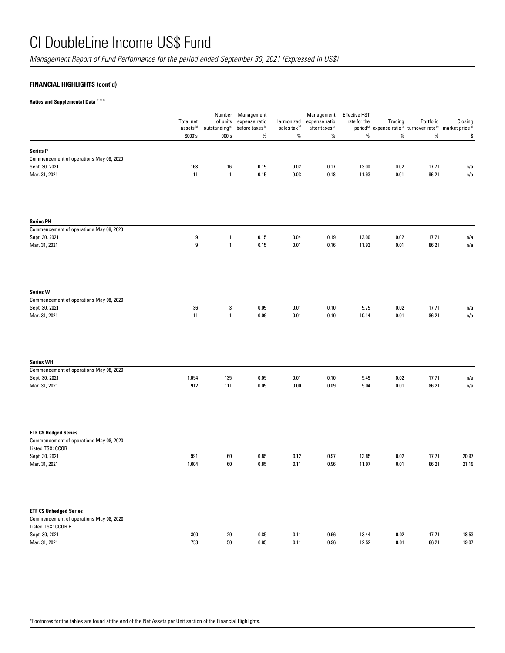*Management Report of Fund Performance for the period ended September 30, 2021 (Expressed in US\$)*

## **FINANCIAL HIGHLIGHTS (cont'd)**

**Ratios and Supplemental Data (1) (5) \***

|                                                               | Total net<br>assets <sup>(5)</sup><br>\$000's | of units<br>outstanding $^{\scriptscriptstyle{(5)}}$<br>000's | Number Management<br>expense ratio<br>before taxes <sup>(2)</sup><br>$\%$ | Harmonized<br>sales tax <sup>(2)</sup><br>$\%$ | Management<br>expense ratio<br>after taxes <sup>(2)</sup><br>$\%$ | <b>Effective HST</b><br>rate for the<br>$\%$ | Trading<br>$\%$ | Portfolio<br>period <sup>(2)</sup> expense ratio <sup>(3)</sup> turnover rate <sup>(4)</sup> market price <sup>(6)</sup><br>$\%$ | Closing<br>\$ |
|---------------------------------------------------------------|-----------------------------------------------|---------------------------------------------------------------|---------------------------------------------------------------------------|------------------------------------------------|-------------------------------------------------------------------|----------------------------------------------|-----------------|----------------------------------------------------------------------------------------------------------------------------------|---------------|
| <b>Series P</b>                                               |                                               |                                                               |                                                                           |                                                |                                                                   |                                              |                 |                                                                                                                                  |               |
| Commencement of operations May 08, 2020                       |                                               |                                                               |                                                                           |                                                |                                                                   |                                              |                 |                                                                                                                                  |               |
| Sept. 30, 2021                                                | 168                                           | 16                                                            | 0.15                                                                      | 0.02                                           | 0.17                                                              | 13.00                                        | 0.02            | 17.71                                                                                                                            | n/a           |
| Mar. 31, 2021                                                 | 11                                            | $\overline{1}$                                                | 0.15                                                                      | $0.03\,$                                       | 0.18                                                              | 11.93                                        | 0.01            | 86.21                                                                                                                            | n/a           |
| <b>Series PH</b>                                              |                                               |                                                               |                                                                           |                                                |                                                                   |                                              |                 |                                                                                                                                  |               |
| Commencement of operations May 08, 2020                       |                                               |                                                               |                                                                           |                                                |                                                                   |                                              |                 |                                                                                                                                  |               |
| Sept. 30, 2021<br>Mar. 31, 2021                               | 9<br>9                                        | $\overline{1}$<br>$\overline{1}$                              | 0.15<br>0.15                                                              | 0.04<br>0.01                                   | 0.19<br>0.16                                                      | 13.00<br>11.93                               | 0.02<br>0.01    | 17.71<br>86.21                                                                                                                   | n/a<br>n/a    |
| <b>Series W</b>                                               |                                               |                                                               |                                                                           |                                                |                                                                   |                                              |                 |                                                                                                                                  |               |
| Commencement of operations May 08, 2020                       |                                               |                                                               |                                                                           |                                                |                                                                   |                                              |                 |                                                                                                                                  |               |
| Sept. 30, 2021<br>Mar. 31, 2021                               | 36<br>11                                      | $\sqrt{3}$<br>$\overline{1}$                                  | 0.09<br>0.09                                                              | 0.01<br>0.01                                   | 0.10<br>0.10                                                      | 5.75<br>10.14                                | 0.02<br>0.01    | 17.71<br>86.21                                                                                                                   | n/a<br>n/a    |
| <b>Series WH</b>                                              |                                               |                                                               |                                                                           |                                                |                                                                   |                                              |                 |                                                                                                                                  |               |
| Commencement of operations May 08, 2020                       |                                               |                                                               |                                                                           |                                                |                                                                   |                                              |                 |                                                                                                                                  |               |
| Sept. 30, 2021<br>Mar. 31, 2021                               | 1,094<br>912                                  | 135<br>111                                                    | 0.09<br>0.09                                                              | 0.01<br>0.00                                   | 0.10<br>0.09                                                      | 5.49<br>5.04                                 | 0.02<br>0.01    | 17.71<br>86.21                                                                                                                   | n/a<br>n/a    |
| <b>ETF C\$ Hedged Series</b>                                  |                                               |                                                               |                                                                           |                                                |                                                                   |                                              |                 |                                                                                                                                  |               |
| Commencement of operations May 08, 2020                       |                                               |                                                               |                                                                           |                                                |                                                                   |                                              |                 |                                                                                                                                  |               |
| Listed TSX: CCOR<br>Sept. 30, 2021                            | 991                                           | 60                                                            | 0.85                                                                      | 0.12                                           | 0.97                                                              | 13.85                                        | 0.02            | 17.71                                                                                                                            | 20.97         |
| Mar. 31, 2021                                                 | 1,004                                         | 60                                                            | 0.85                                                                      | 0.11                                           | 0.96                                                              | 11.97                                        | 0.01            | 86.21                                                                                                                            | 21.19         |
|                                                               |                                               |                                                               |                                                                           |                                                |                                                                   |                                              |                 |                                                                                                                                  |               |
| <b>ETF C\$ Unhedged Series</b>                                |                                               |                                                               |                                                                           |                                                |                                                                   |                                              |                 |                                                                                                                                  |               |
| Commencement of operations May 08, 2020<br>Listed TSX: CCOR.B |                                               |                                                               |                                                                           |                                                |                                                                   |                                              |                 |                                                                                                                                  |               |
| Sept. 30, 2021                                                | 300                                           | $20\,$                                                        | 0.85                                                                      | 0.11                                           | 0.96                                                              | 13.44                                        | 0.02            | 17.71                                                                                                                            | 18.53         |
| Mar. 31, 2021                                                 | 753                                           | $50\,$                                                        | 0.85                                                                      | 0.11                                           | 0.96                                                              | 12.52                                        | 0.01            | 86.21                                                                                                                            | 19.07         |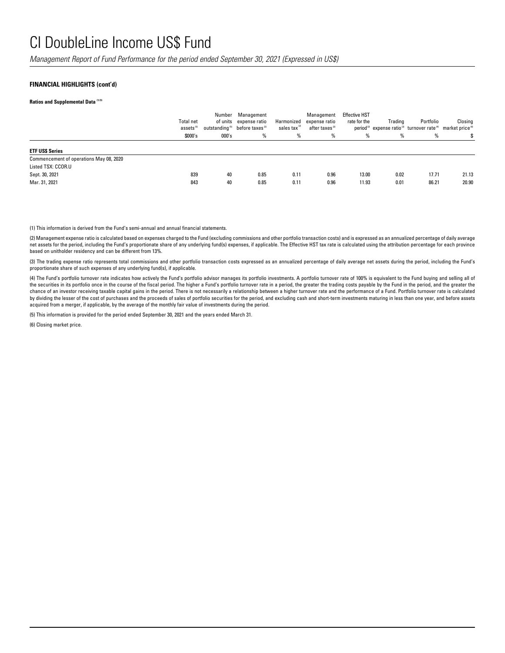*Management Report of Fund Performance for the period ended September 30, 2021 (Expressed in US\$)*

#### **FINANCIAL HIGHLIGHTS (cont'd)**

#### **Ratios and Supplemental Data (1) (5)**

|                                                                                                  | Total net<br>assets <sup>(5)</sup><br>\$000's | Number<br>000's | Management<br>of units expense ratio<br>outstanding <sup>5</sup> before taxes <sup>(2)</sup><br>% | Harmonized<br>sales tax <sup>12</sup><br>% | Management<br>expense ratio<br>after taxes <sup>(2)</sup><br>% | <b>Effective HST</b><br>rate for the<br>% | Trading<br>% | Portfolio<br>period <sup>[2]</sup> expense ratio <sup>[2]</sup> turnover rate <sup>[4]</sup> market price <sup>[6]</sup><br>% | Closing        |
|--------------------------------------------------------------------------------------------------|-----------------------------------------------|-----------------|---------------------------------------------------------------------------------------------------|--------------------------------------------|----------------------------------------------------------------|-------------------------------------------|--------------|-------------------------------------------------------------------------------------------------------------------------------|----------------|
| <b>ETF USS Series</b>                                                                            |                                               |                 |                                                                                                   |                                            |                                                                |                                           |              |                                                                                                                               |                |
| Commencement of operations May 08, 2020<br>Listed TSX: CCOR.U<br>Sept. 30, 2021<br>Mar. 31, 2021 | 839<br>843                                    | 40<br>40        | 0.85<br>0.85                                                                                      | 0.11<br>0.11                               | 0.96<br>0.96                                                   | 13.00<br>11.93                            | 0.02<br>0.01 | 17.71<br>86.21                                                                                                                | 21.13<br>20.90 |

(1) This information is derived from the Fund's semi-annual and annual financial statements.

(2) Management expense ratio is calculated based on expenses charged to the Fund (excluding commissions and other portfolio transaction costs) and is expressed as an annualized percentage of daily average net assets for the period, including the Fund's proportionate share of any underlying fund(s) expenses, if applicable. The Effective HST tax rate is calculated using the attribution percentage for each province based on unitholder residency and can be different from 13%.

(3) The trading expense ratio represents total commissions and other portfolio transaction costs expressed as an annualized percentage of daily average net assets during the period, including the Fund's proportionate share of such expenses of any underlying fund(s), if applicable.

(4) The Fund's portfolio turnover rate indicates how actively the Fund's portfolio advisor manages its portfolio investments. A portfolio turnover rate of 100% is equivalent to the Fund buying and selling all of the securities in its portfolio once in the course of the fiscal period. The higher a Fund's portfolio turnover rate in a period, the greater the trading costs payable by the Fund in the period, and the greater the chance of an investor receiving taxable capital gains in the period. There is not necessarily a relationship between a higher turnover rate and the performance of a Fund. Portfolio turnover rate is calculated by dividing the lesser of the cost of purchases and the proceeds of sales of portfolio securities for the period, and excluding cash and short-term investments maturing in less than one year, and before assets acquired from a merger, if applicable, by the average of the monthly fair value of investments during the period.

(5) This information is provided for the period ended September 30, 2021 and the years ended March 31.

(6) Closing market price.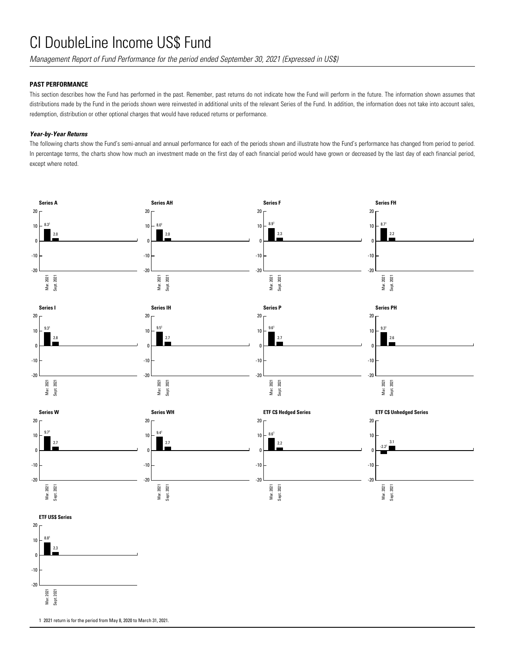*Management Report of Fund Performance for the period ended September 30, 2021 (Expressed in US\$)*

### **PAST PERFORMANCE**

This section describes how the Fund has performed in the past. Remember, past returns do not indicate how the Fund will perform in the future. The information shown assumes that distributions made by the Fund in the periods shown were reinvested in additional units of the relevant Series of the Fund. In addition, the information does not take into account sales, redemption, distribution or other optional charges that would have reduced returns or performance.

### *Year-by-Year Returns*

The following charts show the Fund's semi-annual and annual performance for each of the periods shown and illustrate how the Fund's performance has changed from period to period. In percentage terms, the charts show how much an investment made on the first day of each financial period would have grown or decreased by the last day of each financial period, except where noted.



1 2021 return is for the period from May 8, 2020 to March 31, 2021.